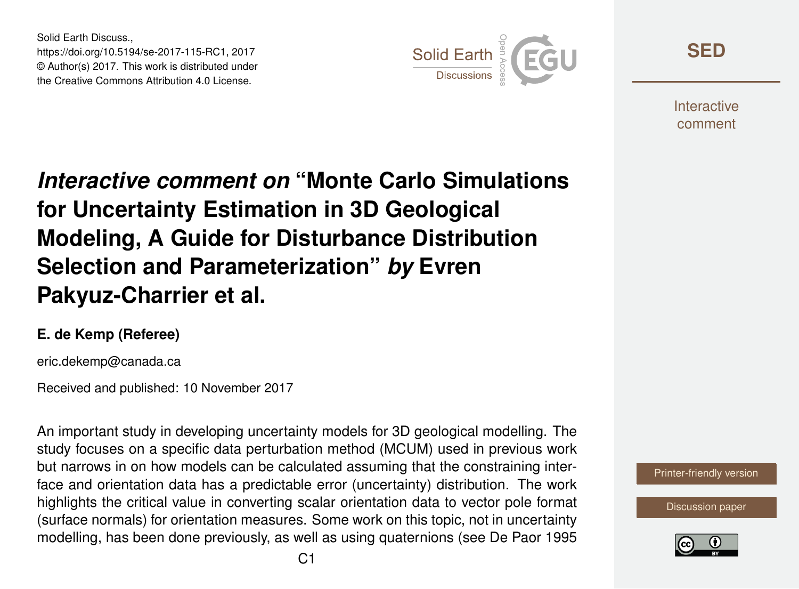Solid Earth Discuss., https://doi.org/10.5194/se-2017-115-RC1, 2017 © Author(s) 2017. This work is distributed under the Creative Commons Attribution 4.0 License.



**[SED](https://www.solid-earth-discuss.net/)**

**Interactive** comment

## *Interactive comment on* **"Monte Carlo Simulations for Uncertainty Estimation in 3D Geological Modeling, A Guide for Disturbance Distribution Selection and Parameterization"** *by* **Evren Pakyuz-Charrier et al.**

## **E. de Kemp (Referee)**

eric.dekemp@canada.ca

Received and published: 10 November 2017

An important study in developing uncertainty models for 3D geological modelling. The study focuses on a specific data perturbation method (MCUM) used in previous work but narrows in on how models can be calculated assuming that the constraining interface and orientation data has a predictable error (uncertainty) distribution. The work highlights the critical value in converting scalar orientation data to vector pole format (surface normals) for orientation measures. Some work on this topic, not in uncertainty modelling, has been done previously, as well as using quaternions (see De Paor 1995



[Discussion paper](https://www.solid-earth-discuss.net/se-2017-115)

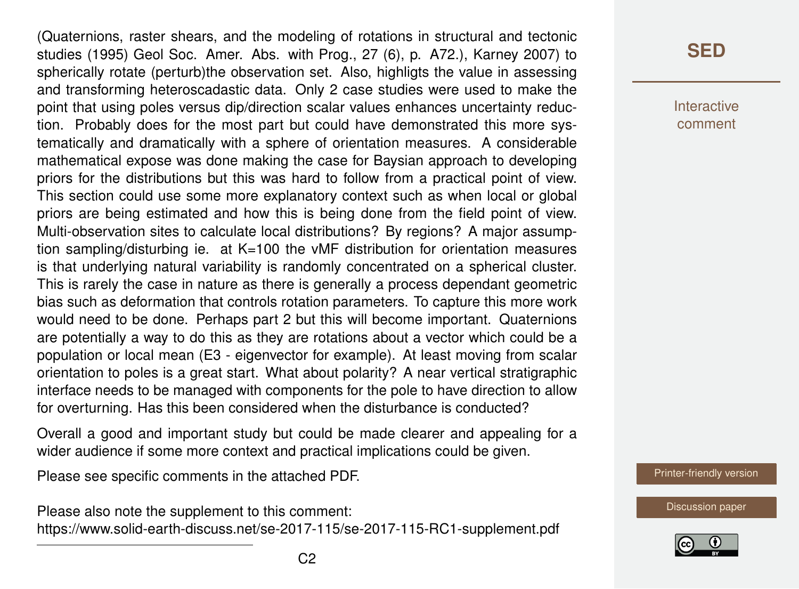(Quaternions, raster shears, and the modeling of rotations in structural and tectonic studies (1995) Geol Soc. Amer. Abs. with Prog., 27 (6), p. A72.), Karney 2007) to spherically rotate (perturb)the observation set. Also, highligts the value in assessing and transforming heteroscadastic data. Only 2 case studies were used to make the point that using poles versus dip/direction scalar values enhances uncertainty reduction. Probably does for the most part but could have demonstrated this more systematically and dramatically with a sphere of orientation measures. A considerable mathematical expose was done making the case for Baysian approach to developing priors for the distributions but this was hard to follow from a practical point of view. This section could use some more explanatory context such as when local or global priors are being estimated and how this is being done from the field point of view. Multi-observation sites to calculate local distributions? By regions? A major assumption sampling/disturbing ie. at K=100 the vMF distribution for orientation measures is that underlying natural variability is randomly concentrated on a spherical cluster. This is rarely the case in nature as there is generally a process dependant geometric bias such as deformation that controls rotation parameters. To capture this more work would need to be done. Perhaps part 2 but this will become important. Quaternions are potentially a way to do this as they are rotations about a vector which could be a population or local mean (E3 - eigenvector for example). At least moving from scalar orientation to poles is a great start. What about polarity? A near vertical stratigraphic interface needs to be managed with components for the pole to have direction to allow for overturning. Has this been considered when the disturbance is conducted?

Overall a good and important study but could be made clearer and appealing for a wider audience if some more context and practical implications could be given.

Please see specific comments in the attached PDF.

Please also note the supplement to this comment: <https://www.solid-earth-discuss.net/se-2017-115/se-2017-115-RC1-supplement.pdf>

## **[SED](https://www.solid-earth-discuss.net/)**

**Interactive** comment

[Printer-friendly version](https://www.solid-earth-discuss.net/se-2017-115/se-2017-115-RC1-print.pdf)

[Discussion paper](https://www.solid-earth-discuss.net/se-2017-115)